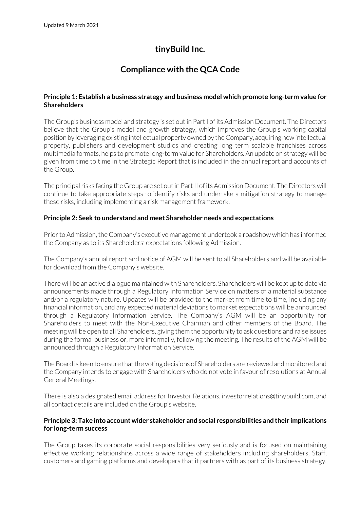# **tinyBuild Inc.**

## **Compliance with the QCA Code**

## **Principle 1: Establish a business strategy and business model which promote long-term value for Shareholders**

The Group's business model and strategy is set out in Part I of its Admission Document. The Directors believe that the Group's model and growth strategy, which improves the Group's working capital position by leveraging existing intellectual property owned by the Company, acquiring new intellectual property, publishers and development studios and creating long term scalable franchises across multimedia formats, helps to promote long-term value for Shareholders. An update on strategy will be given from time to time in the Strategic Report that is included in the annual report and accounts of the Group.

The principal risks facing the Group are set out in Part II of its Admission Document. The Directors will continue to take appropriate steps to identify risks and undertake a mitigation strategy to manage these risks, including implementing a risk management framework.

## **Principle 2: Seek to understand and meet Shareholder needs and expectations**

Prior to Admission, the Company's executive management undertook a roadshow which has informed the Company as to its Shareholders' expectations following Admission.

The Company's annual report and notice of AGM will be sent to all Shareholders and will be available for download from the Company's website.

There will be an active dialogue maintained with Shareholders. Shareholders will be kept up to date via announcements made through a Regulatory Information Service on matters of a material substance and/or a regulatory nature. Updates will be provided to the market from time to time, including any financial information, and any expected material deviations to market expectations will be announced through a Regulatory Information Service. The Company's AGM will be an opportunity for Shareholders to meet with the Non-Executive Chairman and other members of the Board. The meeting will be open to all Shareholders, giving them the opportunity to ask questions and raise issues during the formal business or, more informally, following the meeting. The results of the AGM will be announced through a Regulatory Information Service.

The Board is keen to ensure that the voting decisions of Shareholders are reviewed and monitored and the Company intends to engage with Shareholders who do not vote in favour of resolutions at Annual General Meetings.

There is also a designated email address for Investor Relations, investorrelations@tinybuild.com, and all contact details are included on the Group's website.

## **Principle 3: Take into account wider stakeholder and social responsibilities and their implications for long-term success**

The Group takes its corporate social responsibilities very seriously and is focused on maintaining effective working relationships across a wide range of stakeholders including shareholders, Staff, customers and gaming platforms and developers that it partners with as part of its business strategy.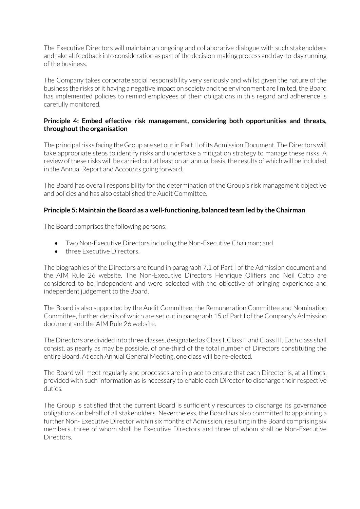The Executive Directors will maintain an ongoing and collaborative dialogue with such stakeholders and take all feedback into consideration as part of the decision-making process and day-to-day running of the business.

The Company takes corporate social responsibility very seriously and whilst given the nature of the business the risks of it having a negative impact on society and the environment are limited, the Board has implemented policies to remind employees of their obligations in this regard and adherence is carefully monitored.

## **Principle 4: Embed effective risk management, considering both opportunities and threats, throughout the organisation**

The principal risks facing the Group are set out in Part II of its Admission Document. The Directors will take appropriate steps to identify risks and undertake a mitigation strategy to manage these risks. A review of these risks will be carried out at least on an annual basis, the results of which will be included in the Annual Report and Accounts going forward.

The Board has overall responsibility for the determination of the Group's risk management objective and policies and has also established the Audit Committee.

## **Principle 5: Maintain the Board as a well-functioning, balanced team led by the Chairman**

The Board comprises the following persons:

- Two Non-Executive Directors including the Non-Executive Chairman; and
- three Executive Directors.

The biographies of the Directors are found in paragraph 7.1 of Part I of the Admission document and the AIM Rule 26 website. The Non-Executive Directors Henrique Olifiers and Neil Catto are considered to be independent and were selected with the objective of bringing experience and independent judgement to the Board.

The Board is also supported by the Audit Committee, the Remuneration Committee and Nomination Committee, further details of which are set out in paragraph 15 of Part I of the Company's Admission document and the AIM Rule 26 website.

The Directors are divided into three classes, designated as Class I, Class II and Class III. Each class shall consist, as nearly as may be possible, of one-third of the total number of Directors constituting the entire Board. At each Annual General Meeting, one class will be re-elected.

The Board will meet regularly and processes are in place to ensure that each Director is, at all times, provided with such information as is necessary to enable each Director to discharge their respective duties.

The Group is satisfied that the current Board is sufficiently resources to discharge its governance obligations on behalf of all stakeholders. Nevertheless, the Board has also committed to appointing a further Non- Executive Director within six months of Admission, resulting in the Board comprising six members, three of whom shall be Executive Directors and three of whom shall be Non-Executive Directors.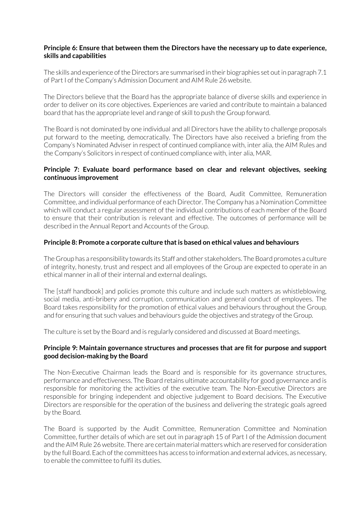## **Principle 6: Ensure that between them the Directors have the necessary up to date experience, skills and capabilities**

The skills and experience of the Directors are summarised in their biographies set out in paragraph 7.1 of Part I of the Company's Admission Document and AIM Rule 26 website.

The Directors believe that the Board has the appropriate balance of diverse skills and experience in order to deliver on its core objectives. Experiences are varied and contribute to maintain a balanced board that has the appropriate level and range of skill to push the Group forward.

The Board is not dominated by one individual and all Directors have the ability to challenge proposals put forward to the meeting, democratically. The Directors have also received a briefing from the Company's Nominated Adviser in respect of continued compliance with, inter alia, the AIM Rules and the Company's Solicitors in respect of continued compliance with, inter alia, MAR.

## **Principle 7: Evaluate board performance based on clear and relevant objectives, seeking continuous improvement**

The Directors will consider the effectiveness of the Board, Audit Committee, Remuneration Committee, and individual performance of each Director. The Company has a Nomination Committee which will conduct a regular assessment of the individual contributions of each member of the Board to ensure that their contribution is relevant and effective. The outcomes of performance will be described in the Annual Report and Accounts of the Group.

#### **Principle 8: Promote a corporate culture that is based on ethical values and behaviours**

The Group has a responsibility towards its Staff and other stakeholders. The Board promotes a culture of integrity, honesty, trust and respect and all employees of the Group are expected to operate in an ethical manner in all of their internal and external dealings.

The [staff handbook] and policies promote this culture and include such matters as whistleblowing, social media, anti-bribery and corruption, communication and general conduct of employees. The Board takes responsibility for the promotion of ethical values and behaviours throughout the Group, and for ensuring that such values and behaviours guide the objectives and strategy of the Group.

The culture is set by the Board and is regularly considered and discussed at Board meetings.

## **Principle 9: Maintain governance structures and processes that are fit for purpose and support good decision-making by the Board**

The Non-Executive Chairman leads the Board and is responsible for its governance structures, performance and effectiveness. The Board retains ultimate accountability for good governance and is responsible for monitoring the activities of the executive team. The Non-Executive Directors are responsible for bringing independent and objective judgement to Board decisions. The Executive Directors are responsible for the operation of the business and delivering the strategic goals agreed by the Board.

The Board is supported by the Audit Committee, Remuneration Committee and Nomination Committee, further details of which are set out in paragraph 15 of Part I of the Admission document and the AIM Rule 26 website. There are certain material matters which are reserved for consideration by the full Board. Each of the committees has access to information and external advices, as necessary, to enable the committee to fulfil its duties.